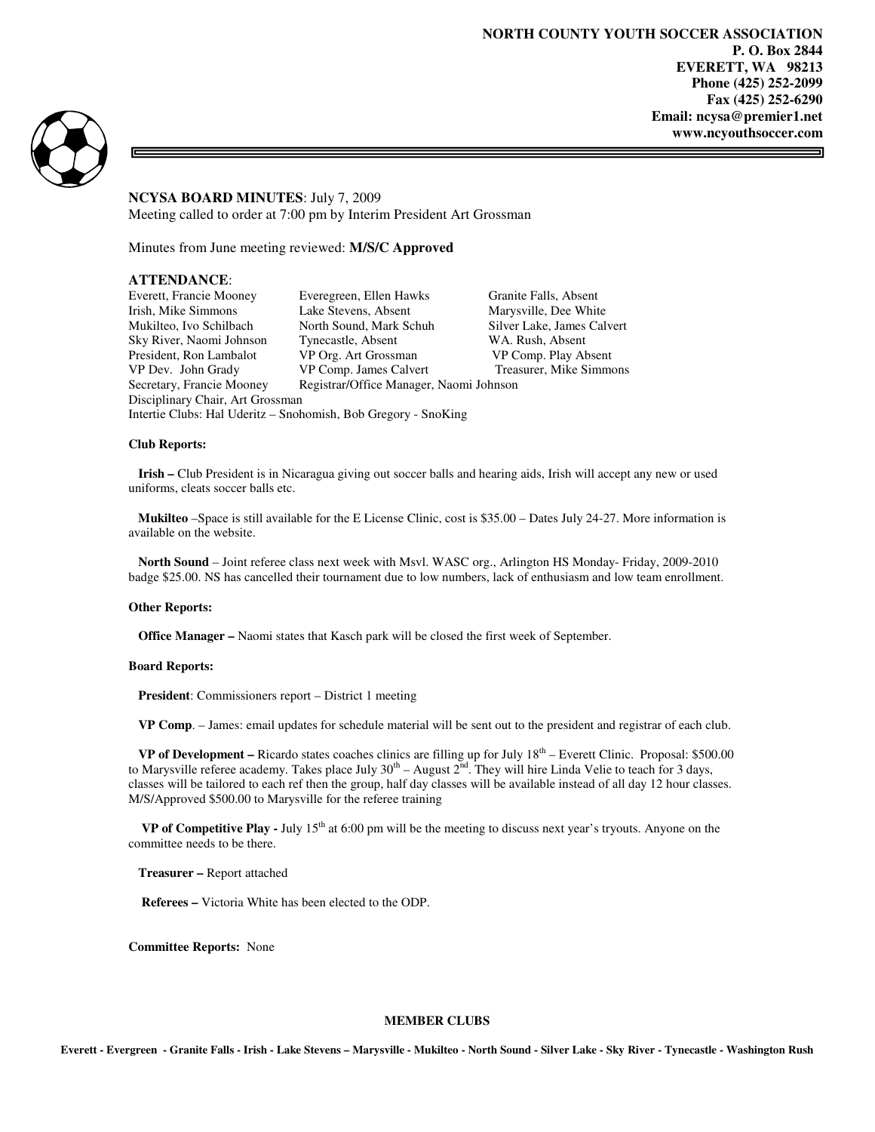**NORTH COUNTY YOUTH SOCCER ASSOCIATION P. O. Box 2844 EVERETT, WA 98213 Phone (425) 252-2099 Fax (425) 252-6290 Email: ncysa@premier1.net www.ncyouthsoccer.com** 

5



# **NCYSA BOARD MINUTES**: July 7, 2009

Meeting called to order at 7:00 pm by Interim President Art Grossman

Minutes from June meeting reviewed: **M/S/C Approved** 

# **ATTENDANCE**:

Everett, Francie Mooney Everegreen, Ellen Hawks Granite Falls, Absent Irish, Mike Simmons Lake Stevens, Absent Marysville, Dee White Mukilteo, Ivo Schilbach North Sound, Mark Schuh Silver Lake, James Calvert Sky River, Naomi Johnson Tynecastle, Absent WA. Rush, Absent President, Ron Lambalot VP Org. Art Grossman VP Comp. Play Absent<br>
VP Dev. John Grady VP Comp. James Calvert Treasurer, Mike Simmons VP Comp. James Calvert Secretary, Francie Mooney Registrar/Office Manager, Naomi Johnson Disciplinary Chair, Art Grossman Intertie Clubs: Hal Uderitz – Snohomish, Bob Gregory - SnoKing

#### **Club Reports:**

 **Irish –** Club President is in Nicaragua giving out soccer balls and hearing aids, Irish will accept any new or used uniforms, cleats soccer balls etc.

 **Mukilteo** –Space is still available for the E License Clinic, cost is \$35.00 – Dates July 24-27. More information is available on the website.

 **North Sound** – Joint referee class next week with Msvl. WASC org., Arlington HS Monday- Friday, 2009-2010 badge \$25.00. NS has cancelled their tournament due to low numbers, lack of enthusiasm and low team enrollment.

#### **Other Reports:**

 **Office Manager –** Naomi states that Kasch park will be closed the first week of September.

#### **Board Reports:**

 **President**: Commissioners report – District 1 meeting

 **VP Comp**. – James: email updates for schedule material will be sent out to the president and registrar of each club.

 **VP of Development –** Ricardo states coaches clinics are filling up for July 18th – Everett Clinic. Proposal: \$500.00 to Marysville referee academy. Takes place July  $30^{\text{th}}$  – August  $2^{\text{nd}}$ . They will hire Linda Velie to teach for 3 days, classes will be tailored to each ref then the group, half day classes will be available instead of all day 12 hour classes. M/S/Approved \$500.00 to Marysville for the referee training

 **VP of Competitive Play -** July 15th at 6:00 pm will be the meeting to discuss next year's tryouts. Anyone on the committee needs to be there.

 **Treasurer –** Report attached

**Referees –** Victoria White has been elected to the ODP.

**Committee Reports:** None

#### **MEMBER CLUBS**

**Everett - Evergreen - Granite Falls - Irish - Lake Stevens – Marysville - Mukilteo - North Sound - Silver Lake - Sky River - Tynecastle - Washington Rush**